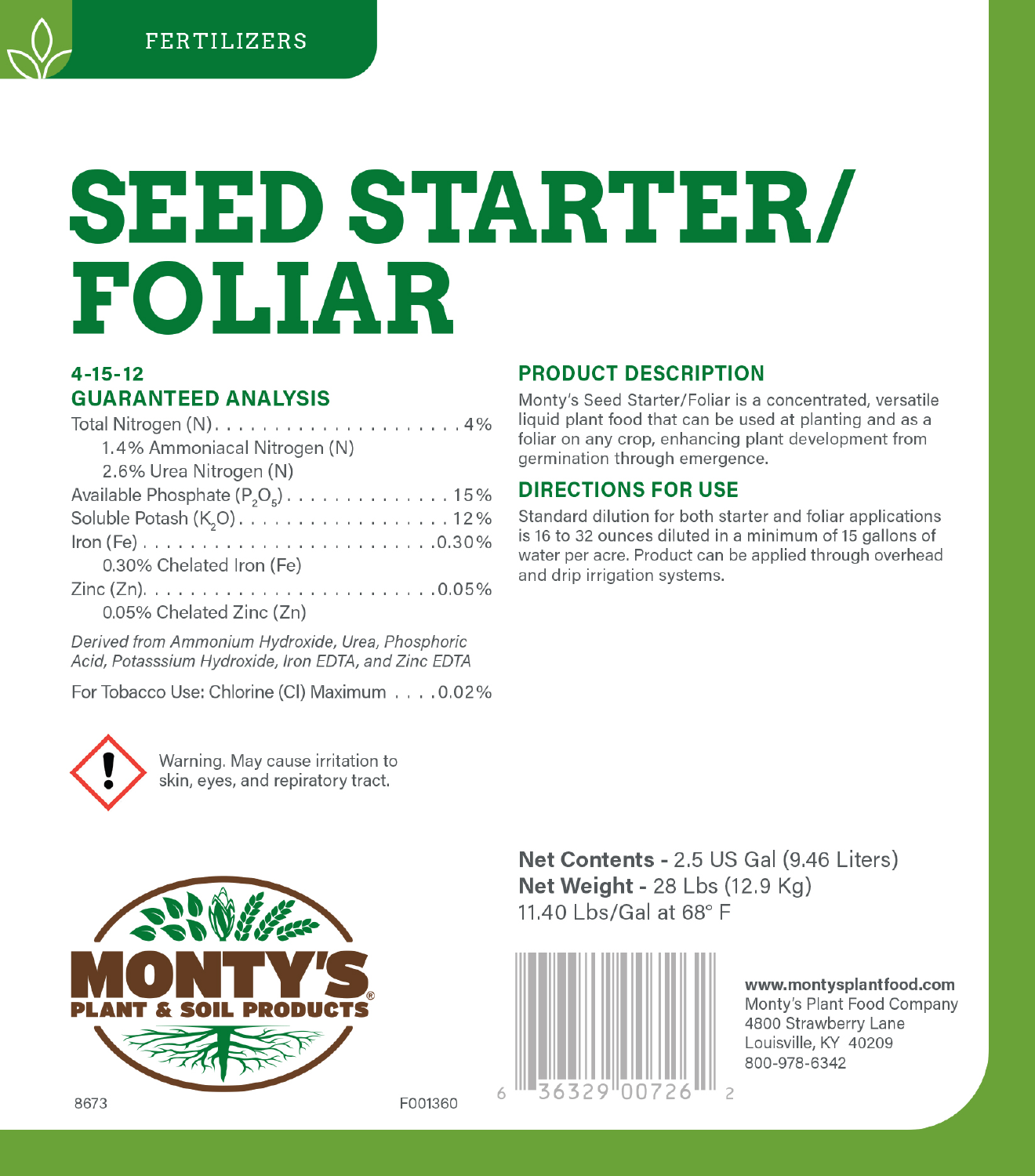# **SEED STARTER/ FOLIAR**

## $4 - 15 - 12$ **GUARANTEED ANALYSIS**

| 1.4% Ammoniacal Nitrogen (N)           |
|----------------------------------------|
| 2.6% Urea Nitrogen (N)                 |
| Available Phosphate $(P_2O_5)$ 15%     |
| Soluble Potash (K <sub>2</sub> O). 12% |
|                                        |
| 0.30% Chelated Iron (Fe)               |
|                                        |
| 0.05% Chelated Zinc (Zn)               |

Derived from Ammonium Hydroxide, Urea, Phosphoric Acid, Potasssium Hydroxide, Iron EDTA, and Zinc EDTA

For Tobacco Use: Chlorine (Cl) Maximum . . . . 0.02%



Warning, May cause irritation to skin, eyes, and repiratory tract.

# **PRODUCT DESCRIPTION**

Monty's Seed Starter/Foliar is a concentrated, versatile liquid plant food that can be used at planting and as a foliar on any crop, enhancing plant development from germination through emergence.

# **DIRECTIONS FOR USE**

Standard dilution for both starter and foliar applications is 16 to 32 ounces diluted in a minimum of 15 gallons of water per acre. Product can be applied through overhead and drip irrigation systems.



Net Contents - 2.5 US Gal (9.46 Liters) Net Weight - 28 Lbs (12.9 Kg) 11.40 Lbs/Gal at 68° F



www.montysplantfood.com Monty's Plant Food Company 4800 Strawberry Lane Louisville, KY 40209 800-978-6342

F001360